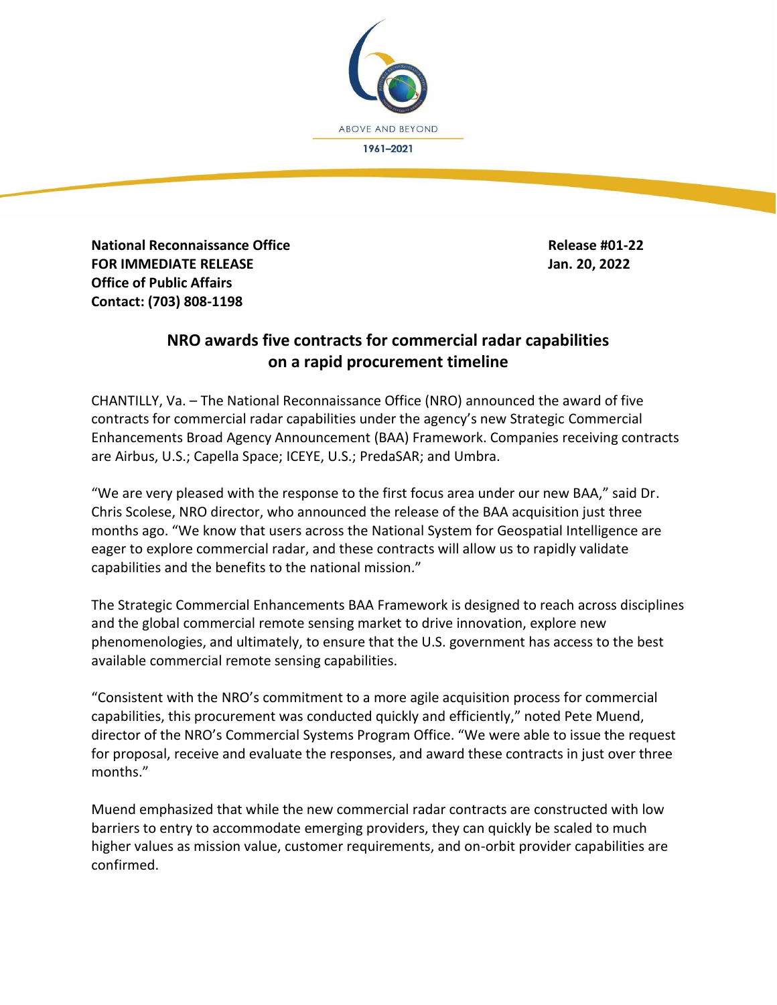

**National Reconnaissance Office Release #01-22 FOR IMMEDIATE RELEASE Jan. 20, 2022 Office of Public Affairs Contact: (703) 808-1198**

## **NRO awards five contracts for commercial radar capabilities on a rapid procurement timeline**

CHANTILLY, Va. – The National Reconnaissance Office (NRO) announced the award of five contracts for commercial radar capabilities under the agency's new Strategic Commercial Enhancements Broad Agency Announcement (BAA) Framework. Companies receiving contracts are Airbus, U.S.; Capella Space; ICEYE, U.S.; PredaSAR; and Umbra.

"We are very pleased with the response to the first focus area under our new BAA," said Dr. Chris Scolese, NRO director, who announced the release of the BAA acquisition just three months ago. "We know that users across the National System for Geospatial Intelligence are eager to explore commercial radar, and these contracts will allow us to rapidly validate capabilities and the benefits to the national mission."

The Strategic Commercial Enhancements BAA Framework is designed to reach across disciplines and the global commercial remote sensing market to drive innovation, explore new phenomenologies, and ultimately, to ensure that the U.S. government has access to the best available commercial remote sensing capabilities.

"Consistent with the NRO's commitment to a more agile acquisition process for commercial capabilities, this procurement was conducted quickly and efficiently," noted Pete Muend, director of the NRO's Commercial Systems Program Office. "We were able to issue the request for proposal, receive and evaluate the responses, and award these contracts in just over three months."

Muend emphasized that while the new commercial radar contracts are constructed with low barriers to entry to accommodate emerging providers, they can quickly be scaled to much higher values as mission value, customer requirements, and on-orbit provider capabilities are confirmed.